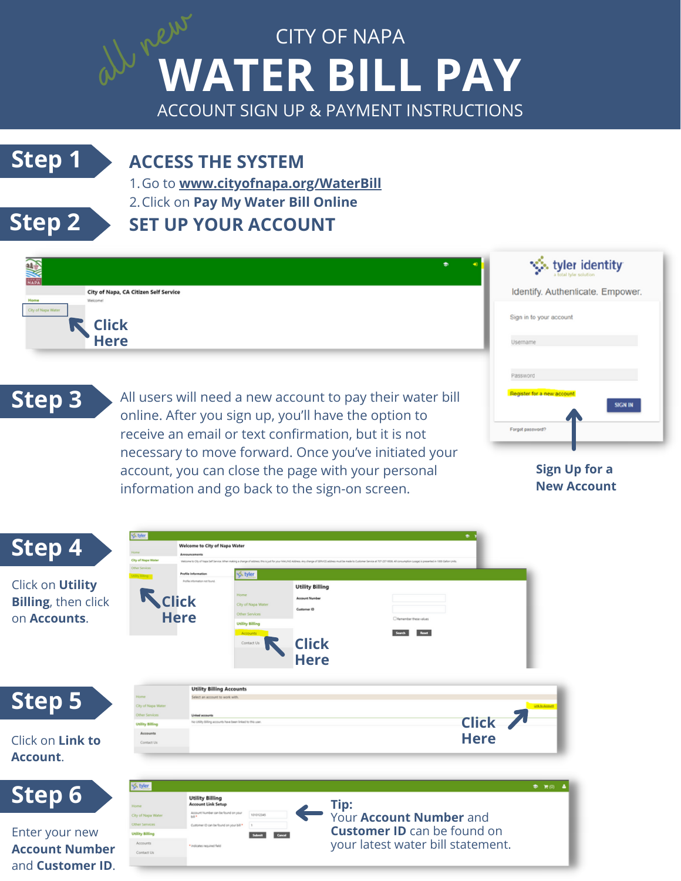# **WATER BILL PAY** CITY OF NAPA al new

ACCOUNT SIGN UP & PAYMENT INSTRUCTIONS

### **Step 1 ACCESS THE SYSTEM**

Go to **www.cityofnapa.org/WaterBill** 1. 2.Click on **Pay My Water Bill Online** 

## **Step 2**

# **SET UP YOUR ACCOUNT**



**Sign Up for a New Account**



necessary to move forward. Once you've initiated your account, you can close the page with your personal

information and go back to the sign-on screen.